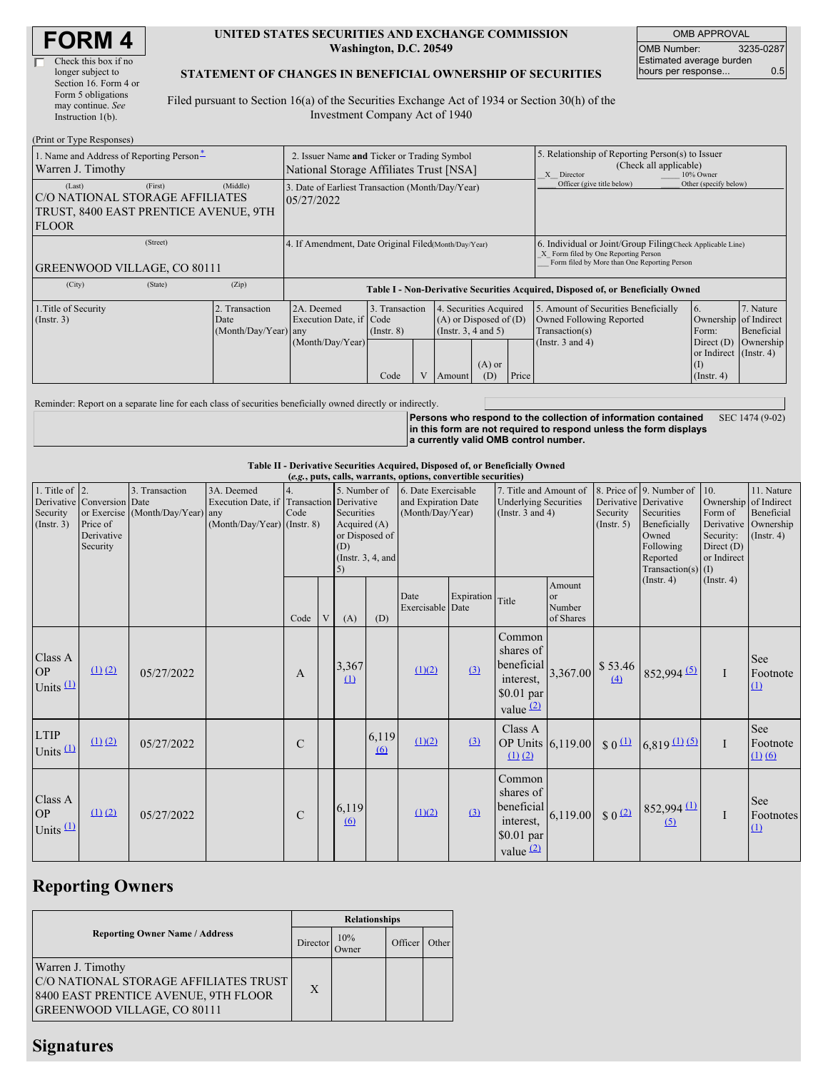#### **UNITED STATES SECURITIES AND EXCHANGE COMMISSION Washington, D.C. 20549**

OMB APPROVAL OMB Number: 3235-0287 Estimated average burden hours per response... 0.5

### **STATEMENT OF CHANGES IN BENEFICIAL OWNERSHIP OF SECURITIES**

Filed pursuant to Section 16(a) of the Securities Exchange Act of 1934 or Section 30(h) of the Investment Company Act of 1940

| (Print or Type Responses)                                                                          |                                                                                        |                                                                |                                                           |                                           |  |                                                                                        |                                                                                                       |                            |                                                                                                                                                    |                                                                                                     |                                      |  |
|----------------------------------------------------------------------------------------------------|----------------------------------------------------------------------------------------|----------------------------------------------------------------|-----------------------------------------------------------|-------------------------------------------|--|----------------------------------------------------------------------------------------|-------------------------------------------------------------------------------------------------------|----------------------------|----------------------------------------------------------------------------------------------------------------------------------------------------|-----------------------------------------------------------------------------------------------------|--------------------------------------|--|
| 1. Name and Address of Reporting Person-<br>Warren J. Timothy                                      | 2. Issuer Name and Ticker or Trading Symbol<br>National Storage Affiliates Trust [NSA] |                                                                |                                                           |                                           |  |                                                                                        | 5. Relationship of Reporting Person(s) to Issuer<br>(Check all applicable)<br>X Director<br>10% Owner |                            |                                                                                                                                                    |                                                                                                     |                                      |  |
| (Last)<br>C/O NATIONAL STORAGE AFFILIATES<br>TRUST, 8400 EAST PRENTICE AVENUE, 9TH<br><b>FLOOR</b> | (Middle)                                                                               | 3. Date of Earliest Transaction (Month/Day/Year)<br>05/27/2022 |                                                           |                                           |  |                                                                                        |                                                                                                       | Officer (give title below) | Other (specify below)                                                                                                                              |                                                                                                     |                                      |  |
| (Street)<br><b>GREENWOOD VILLAGE, CO 80111</b>                                                     |                                                                                        |                                                                | 4. If Amendment, Date Original Filed Month/Day/Year)      |                                           |  |                                                                                        |                                                                                                       |                            | 6. Individual or Joint/Group Filing(Check Applicable Line)<br>X Form filed by One Reporting Person<br>Form filed by More than One Reporting Person |                                                                                                     |                                      |  |
| (City)                                                                                             | (State)                                                                                | (Zip)                                                          |                                                           |                                           |  |                                                                                        |                                                                                                       |                            | Table I - Non-Derivative Securities Acquired, Disposed of, or Beneficially Owned                                                                   |                                                                                                     |                                      |  |
| 1. Title of Security<br>(Insert. 3)                                                                |                                                                                        | 2. Transaction<br>Date<br>(Month/Day/Year) any                 | 2A. Deemed<br>Execution Date, if Code<br>(Month/Day/Year) | 3. Transaction<br>$($ Instr. $8)$<br>Code |  | 4. Securities Acquired<br>$(A)$ or Disposed of $(D)$<br>(Insert. 3, 4 and 5)<br>Amount | $(A)$ or<br>(D)                                                                                       | Price                      | 5. Amount of Securities Beneficially<br>Owned Following Reported<br>Transaction(s)<br>(Instr. $3$ and $4$ )                                        | 16.<br>Ownership of Indirect<br>Form:<br>Direct $(D)$<br>or Indirect (Instr. 4)<br>$($ Instr. 4 $)$ | 7. Nature<br>Beneficial<br>Ownership |  |

Reminder: Report on a separate line for each class of securities beneficially owned directly or indirectly.

**Persons who respond to the collection of information contained in this form are not required to respond unless the form displays a currently valid OMB control number.** SEC 1474 (9-02)

### **Table II - Derivative Securities Acquired, Disposed of, or Beneficially Owned**

|                                           |                                                                  |                                                    |                                                                 |               |   |                                                                                                                             |                  | (e.g., puts, calls, warrants, options, convertible securities) |            |                                                                                 |                                            |                                                  |                                                                                                                                                        |                                                                                       |                                                                          |
|-------------------------------------------|------------------------------------------------------------------|----------------------------------------------------|-----------------------------------------------------------------|---------------|---|-----------------------------------------------------------------------------------------------------------------------------|------------------|----------------------------------------------------------------|------------|---------------------------------------------------------------------------------|--------------------------------------------|--------------------------------------------------|--------------------------------------------------------------------------------------------------------------------------------------------------------|---------------------------------------------------------------------------------------|--------------------------------------------------------------------------|
| 1. Title of 2.<br>Security<br>(Insert. 3) | Derivative Conversion Date<br>Price of<br>Derivative<br>Security | 3. Transaction<br>or Exercise (Month/Day/Year) any | 3A. Deemed<br>Execution Date, if<br>(Month/Day/Year) (Instr. 8) | Code          |   | 5. Number of<br>Transaction Derivative<br>Securities<br>Acquired (A)<br>or Disposed of<br>(D)<br>(Instr. $3, 4$ , and<br>5) |                  | 6. Date Exercisable<br>and Expiration Date<br>(Month/Day/Year) |            | 7. Title and Amount of<br><b>Underlying Securities</b><br>(Instr. $3$ and $4$ ) |                                            | Derivative Derivative<br>Security<br>(Insert. 5) | 8. Price of 9. Number of<br>Securities<br>Beneficially<br>Owned<br>Following<br>Reported<br>Transaction(s) $(I)$                                       | 10.<br>Ownership<br>Form of<br>Derivative<br>Security:<br>Direct $(D)$<br>or Indirect | 11. Nature<br>of Indirect<br>Beneficial<br>Ownership<br>$($ Instr. 4 $)$ |
|                                           |                                                                  |                                                    |                                                                 | Code          | V | (A)                                                                                                                         | (D)              | Date<br>Exercisable Date                                       | Expiration | Title                                                                           | Amount<br><b>or</b><br>Number<br>of Shares |                                                  | $($ Instr. 4 $)$                                                                                                                                       | $($ Instr. 4 $)$                                                                      |                                                                          |
| Class A<br><b>OP</b><br>Units $(1)$       | $(1)$ $(2)$                                                      | 05/27/2022                                         |                                                                 | A             |   | 3,367<br>$\Omega$                                                                                                           |                  | (1)(2)                                                         | (3)        | Common<br>shares of<br>beneficial<br>interest,<br>\$0.01 par<br>value $(2)$     | 3,367.00                                   | \$53.46<br>(4)                                   | $852,994$ <sup>(5)</sup>                                                                                                                               | $\mathbf{I}$                                                                          | See<br>Footnote<br>$\Omega$                                              |
| <b>LTIP</b><br>Units $(1)$                | $(1)$ $(2)$                                                      | 05/27/2022                                         |                                                                 | C             |   |                                                                                                                             | 6,119<br>$\circ$ | (1)(2)                                                         | (3)        | Class A<br>OP Units $6,119.00$<br>$(1)$ $(2)$                                   |                                            | $\frac{1}{2}$                                    | $6,819$ (1) (5)                                                                                                                                        | $\mathbf I$                                                                           | See<br>Footnote<br>(1) (6)                                               |
| Class A<br><b>OP</b><br>Units $(1)$       | $(1)$ $(2)$                                                      | 05/27/2022                                         |                                                                 | $\mathcal{C}$ |   | 6,119<br>(6)                                                                                                                |                  | (1)(2)                                                         | (3)        | Common<br>shares of<br>beneficial<br>$$0.01$ par<br>value $(2)$                 |                                            |                                                  | The interest, $\begin{bmatrix} 6,119.00 \\ \$0.11 \text{ par} \end{bmatrix}$ \$ 0.12 $\begin{bmatrix} 852,994 \text{ (1)} \\ \text{(5)} \end{bmatrix}$ | $\mathbf I$                                                                           | See<br>Footnotes<br>$\Omega$                                             |

# **Reporting Owners**

|                                                                                                                                          | <b>Relationships</b> |              |         |       |  |  |  |
|------------------------------------------------------------------------------------------------------------------------------------------|----------------------|--------------|---------|-------|--|--|--|
| <b>Reporting Owner Name / Address</b>                                                                                                    | Director             | 10%<br>Owner | Officer | Other |  |  |  |
| Warren J. Timothy<br>C/O NATIONAL STORAGE AFFILIATES TRUST<br>8400 EAST PRENTICE AVENUE, 9TH FLOOR<br><b>GREENWOOD VILLAGE, CO 80111</b> | $\mathbf{X}$         |              |         |       |  |  |  |

## **Signatures**